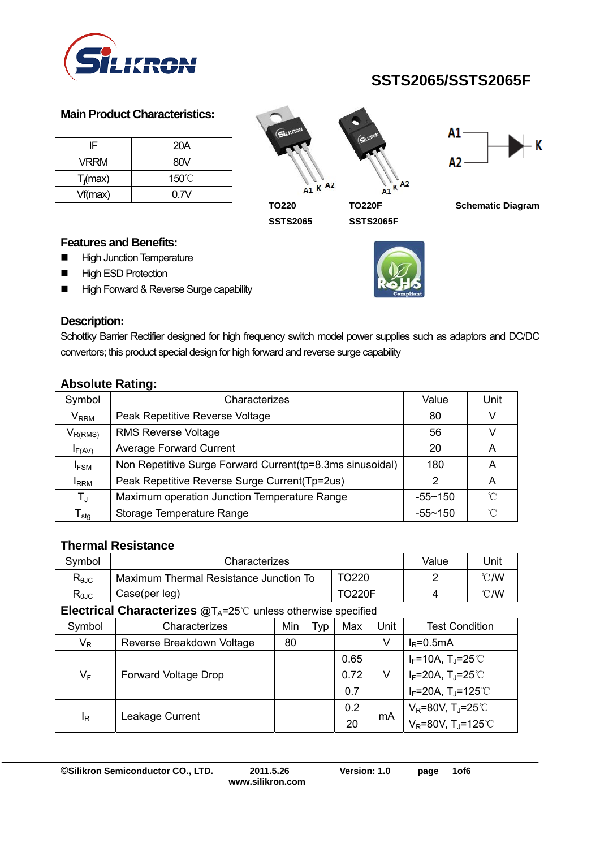

### **Main Product Characteristics:**

| IF          | 20A             |
|-------------|-----------------|
| <b>VRRM</b> | 80V             |
| $T_i$ (max) | $150^{\circ}$ C |
| Vf(max)     | 0.7V            |

 $A1 K A2$  $A<sub>2</sub>$ K  $\mathbf{A}$ <sup>1</sup> **TO220 TO220F** 

**SSTS2065** 





**Schematic Diagram** 

### **Features and Benefits:**

- **High Junction Temperature**
- **High ESD Protection**
- High Forward & Reverse Surge capability



## **Description:**

Schottky Barrier Rectifier designed for high frequency switch model power supplies such as adaptors and DC/DC convertors; this product special design for high forward and reverse surge capability

| Symbol                      | Characterizes                                             | Value       | Unit         |
|-----------------------------|-----------------------------------------------------------|-------------|--------------|
| $\mathsf{V}_{\mathsf{RRM}}$ | Peak Repetitive Reverse Voltage                           | 80          |              |
| $V_{R(RMS)}$                | <b>RMS Reverse Voltage</b>                                | 56          |              |
| $I_{F(AV)}$                 | <b>Average Forward Current</b>                            | 20          | A            |
| <b>IFSM</b>                 | Non Repetitive Surge Forward Current(tp=8.3ms sinusoidal) | 180         | Α            |
| <b>I</b> RRM                | Peak Repetitive Reverse Surge Current(Tp=2us)             |             | A            |
| $T_{\rm J}$                 | Maximum operation Junction Temperature Range              | $-55 - 150$ | ົ            |
| $\mathsf{T}_{\mathsf{stg}}$ | Storage Temperature Range                                 | $-55 - 150$ | $^{\circ}$ C |

### **Absolute Rating:**

#### **Thermal Resistance**

| Symbol                                                                       | Characterizes                          | Value | Unit           |  |  |  |
|------------------------------------------------------------------------------|----------------------------------------|-------|----------------|--|--|--|
| $\mathsf{R}_{\theta\text{JC}}$                                               | Maximum Thermal Resistance Junction To |       | $^{\circ}$ C/W |  |  |  |
| $\mathsf{R}_{\theta\text{JC}}$                                               | Case(per leg)                          |       | $^{\circ}$ C/W |  |  |  |
| $\Box$ entrinal Characterizes $\mathbb{R}^+$ -25% unless otherwise specified |                                        |       |                |  |  |  |

**Electrical Characterizes @T<sub>A</sub>=25<sup>°</sup>C unless otherwise specified** 

| Symbol | Characterizes             | Min | Typ | Max  | Unit | <b>Test Condition</b>                         |
|--------|---------------------------|-----|-----|------|------|-----------------------------------------------|
| $V_R$  | Reverse Breakdown Voltage | 80  |     |      | V    | $I_R = 0.5mA$                                 |
|        |                           |     |     | 0.65 |      | $I_F$ =10A, T <sub>J</sub> =25℃               |
| $V_F$  | Forward Voltage Drop      |     |     | 0.72 | v    | $I_F = 20A$ , $T_J = 25^{\circ}$              |
|        |                           |     |     | 0.7  |      | $I_F = 20A$ , T <sub>J</sub> =125°C           |
| ΙŖ     |                           |     |     | 0.2  |      | $V_R$ =80V, T <sub>J</sub> =25 <sup>°</sup> C |
|        | Leakage Current           |     |     | 20   | mA   | $V_R = 80V$ , T <sub>J</sub> =125°C           |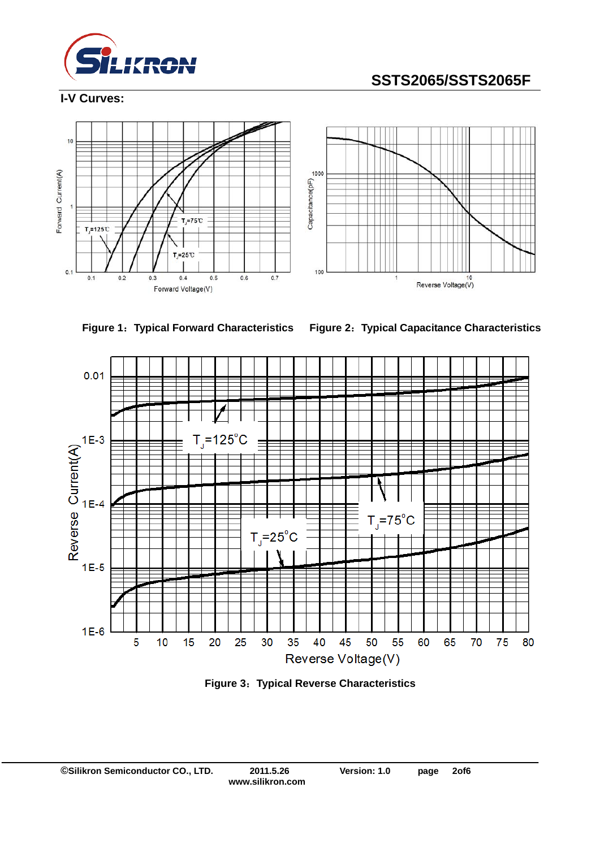

### **I-V Curves:**







**Figure 1**:**Typical Forward Characteristics Figure 2**:**Typical Capacitance Characteristics** 



**Figure 3**:**Typical Reverse Characteristics**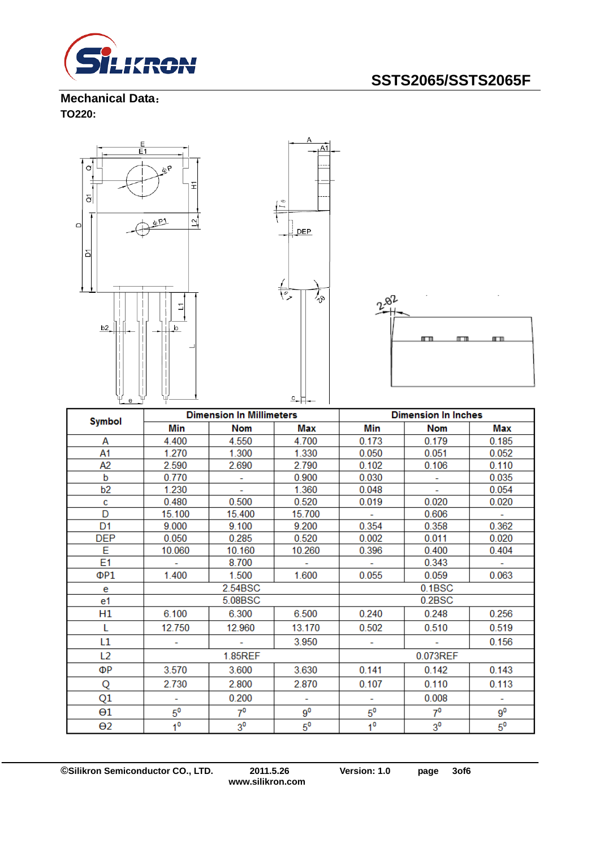

**Mechanical Data**: **TO220:** 



| <b>Symbol</b>  | <b>Dimension In Millimeters</b> |                |        | <b>Dimension In Inches</b> |                |             |
|----------------|---------------------------------|----------------|--------|----------------------------|----------------|-------------|
|                | Min                             | <b>Nom</b>     | Max    | Min                        | <b>Nom</b>     | Max         |
| А              | 4.400                           | 4.550          | 4.700  | 0.173                      | 0.179          | 0.185       |
| A1             | 1.270                           | 1.300          | 1.330  | 0.050                      | 0.051          | 0.052       |
| А2             | 2.590                           | 2.690          | 2.790  | 0.102                      | 0.106          | 0.110       |
| b              | 0.770                           |                | 0.900  | 0.030                      | ۰              | 0.035       |
| b <sub>2</sub> | 1.230                           |                | 1.360  | 0.048                      |                | 0.054       |
| c              | 0.480                           | 0.500          | 0.520  | 0.019                      | 0.020          | 0.020       |
| D              | 15.100                          | 15.400         | 15.700 | $\sim$                     | 0.606          |             |
| D <sub>1</sub> | 9.000                           | 9.100          | 9.200  | 0.354                      | 0.358          | 0.362       |
| <b>DEP</b>     | 0.050                           | 0.285          | 0.520  | 0.002                      | 0.011          | 0.020       |
| E              | 10.060                          | 10.160         | 10.260 | 0.396                      | 0.400          | 0.404       |
| E <sub>1</sub> |                                 | 8.700          | ÷.     |                            | 0.343          |             |
| ΦP1            | 1.400                           | 1.500          | 1.600  | 0.055                      | 0.059          | 0.063       |
| e              | 2.54BSC                         |                | 0.1BSC |                            |                |             |
| e1             |                                 | 5.08BSC        |        | 0.2BSC                     |                |             |
| H1             | 6.100                           | 6.300          | 6.500  | 0.240                      | 0.248          | 0.256       |
| L              | 12.750                          | 12.960         | 13.170 | 0.502                      | 0.510          | 0.519       |
| L1             |                                 |                | 3.950  |                            |                | 0.156       |
| L <sub>2</sub> | 1.85REF                         |                |        | 0.073REF                   |                |             |
| ΦР             | 3.570                           | 3.600          | 3.630  | 0.141                      | 0.142          | 0.143       |
| Q              | 2.730                           | 2.800          | 2.870  | 0.107                      | 0.110          | 0.113       |
| Q1             |                                 | 0.200          | ÷      |                            | 0.008          | ٠           |
| $\Theta1$      | $5^{\mathsf{o}}$                | $7^{\circ}$    | $9^0$  | $5^{\circ}$                | $7^0$          | $9^0$       |
| $\Theta$ 2     | 1 <sup>0</sup>                  | 3 <sup>0</sup> | $5^0$  | 1 <sup>0</sup>             | 3 <sup>0</sup> | $5^{\circ}$ |

**©Silikron Semiconductor CO., LTD. 2011.5.26 Version: 1.0 page 3of6**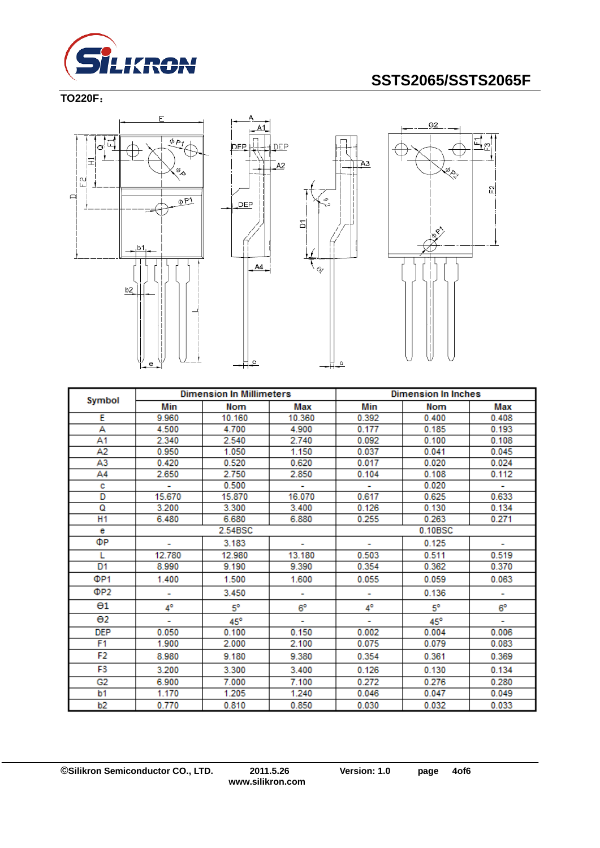

**TO220F**:





 $\overline{A}3$ 



|                       | <b>Dimension In Millimeters</b> |              | <b>Dimension In Inches</b> |         |            |             |
|-----------------------|---------------------------------|--------------|----------------------------|---------|------------|-------------|
| Symbol                | Min                             | Nom          | Max                        | Min     | <b>Nom</b> | Max         |
| Е                     | 9.960                           | 10.160       | 10.360                     | 0.392   | 0.400      | 0.408       |
| А                     | 4.500                           | 4.700        | 4.900                      | 0.177   | 0.185      | 0.193       |
| A1                    | 2.340                           | 2.540        | 2.740                      | 0.092   | 0.100      | 0.108       |
| A2                    | 0.950                           | 1.050        | 1.150                      | 0.037   | 0.041      | 0.045       |
| A3                    | 0.420                           | 0.520        | 0.620                      | 0.017   | 0.020      | 0.024       |
| A4                    | 2.650                           | 2.750        | 2.850                      | 0.104   | 0.108      | 0.112       |
| с                     |                                 | 0.500        | ۰                          |         | 0.020      | ÷.          |
| D                     | 15.670                          | 15.870       | 16.070                     | 0.617   | 0.625      | 0.633       |
| ۵                     | 3.200                           | 3.300        | 3.400                      | 0.126   | 0.130      | 0.134       |
| H <sub>1</sub>        | 6.480                           | 6.680        | 6.880                      | 0.255   | 0.263      | 0.271       |
| e                     |                                 | 2.54BSC      |                            | 0.10BSC |            |             |
| ФP                    |                                 | 3.183        |                            |         | 0.125      |             |
| L                     | 12.780                          | 12.980       | 13.180                     | 0.503   | 0.511      | 0.519       |
| D <sub>1</sub>        | 8.990                           | 9.190        | 9.390                      | 0.354   | 0.362      | 0.370       |
| ΦP <sub>1</sub>       | 1.400                           | 1.500        | 1.600                      | 0.055   | 0.059      | 0.063       |
| ΦP2                   | ٠                               | 3.450        | ۰                          |         | 0.136      | ۰           |
| $\Theta$ 1            | 4°                              | $5^\circ$    | $6^{\circ}$                | 4°      | 5°         | $6^{\circ}$ |
| $\Theta$ <sub>2</sub> | ÷                               | $45^{\circ}$ |                            |         | 45°        |             |
| <b>DEP</b>            | 0.050                           | 0.100        | 0.150                      | 0.002   | 0.004      | 0.006       |
| F <sub>1</sub>        | 1.900                           | 2.000        | 2.100                      | 0.075   | 0.079      | 0.083       |
| F2                    | 8.980                           | 9.180        | 9.380                      | 0.354   | 0.361      | 0.369       |
| F3                    | 3.200                           | 3.300        | 3.400                      | 0.126   | 0.130      | 0.134       |
| G <sub>2</sub>        | 6.900                           | 7.000        | 7.100                      | 0.272   | 0.276      | 0.280       |
| b1                    | 1.170                           | 1.205        | 1.240                      | 0.046   | 0.047      | 0.049       |
| b2                    | 0.770                           | 0.810        | 0.850                      | 0.030   | 0.032      | 0.033       |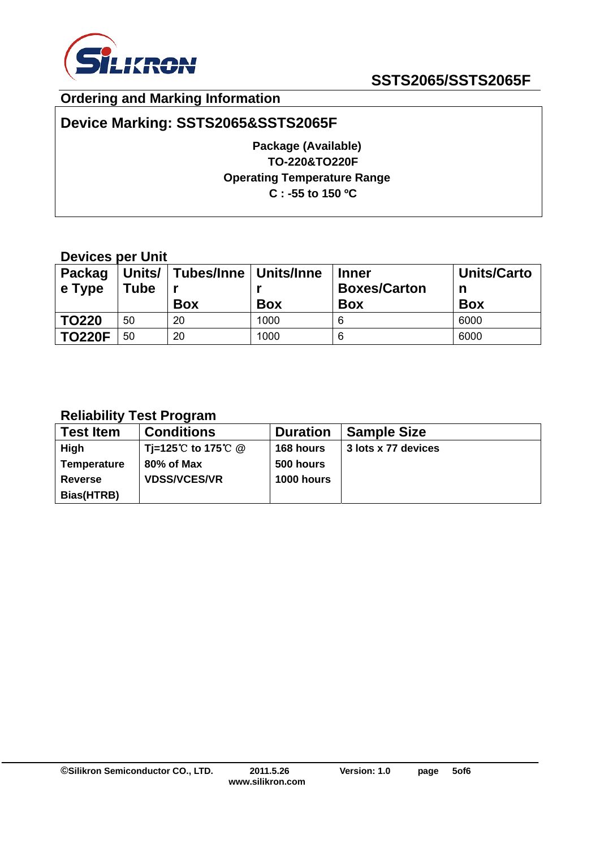

## **Ordering and Marking Information**

## **Device Marking: SSTS2065&SSTS2065F**

**Package (Available) TO-220&TO220F Operating Temperature Range C : -55 to 150 ºC** 

### **Devices per Unit**

| <b>Packag</b><br>$\vert$ e Type | Tube | Units/   Tubes/Inne   Units/Inne<br><b>Box</b> | <b>Box</b> | <b>Inner</b><br><b>Boxes/Carton</b><br><b>Box</b> | <b>Units/Carto</b><br>n<br><b>Box</b> |
|---------------------------------|------|------------------------------------------------|------------|---------------------------------------------------|---------------------------------------|
| <b>TO220</b>                    | 50   | 20                                             | 1000       | 6                                                 | 6000                                  |
| <b>TO220F</b>                   | 50   | 20                                             | 1000       | 6                                                 | 6000                                  |

### **Reliability Test Program**

| <b>Test Item</b>   | <b>Conditions</b>   | <b>Duration</b>   | <b>Sample Size</b>  |
|--------------------|---------------------|-------------------|---------------------|
| High               | Ti=125℃ to 175℃ @   | 168 hours         | 3 lots x 77 devices |
| <b>Temperature</b> | 80% of Max          | 500 hours         |                     |
| <b>Reverse</b>     | <b>VDSS/VCES/VR</b> | <b>1000 hours</b> |                     |
| Bias(HTRB)         |                     |                   |                     |